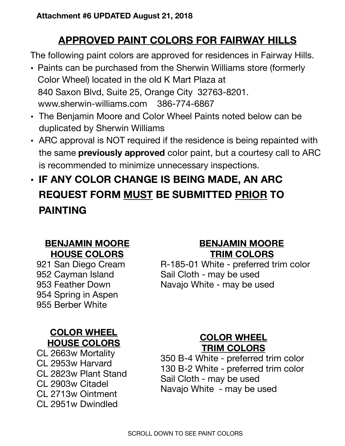# **APPROVED PAINT COLORS FOR FAIRWAY HILLS**

The following paint colors are approved for residences in Fairway Hills.

- Paints can be purchased from the Sherwin Williams store (formerly Color Wheel) located in the old K Mart Plaza at 840 Saxon Blvd, Suite 25, Orange City 32763-8201. www.sherwin-williams.com 386-774-6867
- The Benjamin Moore and Color Wheel Paints noted below can be duplicated by Sherwin Williams
- ARC approval is NOT required if the residence is being repainted with the same **previously approved** color paint, but a courtesy call to ARC is recommended to minimize unnecessary inspections.
- **• IF ANY COLOR CHANGE IS BEING MADE, AN ARC REQUEST FORM MUST BE SUBMITTED PRIOR TO PAINTING**

#### **BENJAMIN MOORE HOUSE COLORS**

921 San Diego Cream 952 Cayman Island 953 Feather Down 954 Spring in Aspen 955 Berber White

#### **COLOR WHEEL HOUSE COLORS**

CL 2663w Mortality CL 2953w Harvard CL 2823w Plant Stand CL 2903w Citadel CL 2713w Ointment CL 2951w Dwindled

### **BENJAMIN MOORE TRIM COLORS**

R-185-01 White - preferred trim color Sail Cloth - may be used Navajo White - may be used

# **COLOR WHEEL TRIM COLORS**

350 B-4 White - preferred trim color 130 B-2 White - preferred trim color Sail Cloth - may be used Navajo White - may be used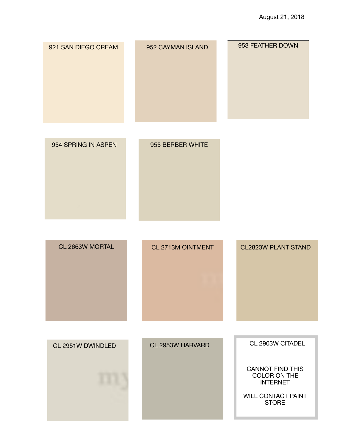| 921 SAN DIEGO CREAM | 952 CAYMAN ISLAND | 953 FEATHER DOWN                                                                                                            |
|---------------------|-------------------|-----------------------------------------------------------------------------------------------------------------------------|
| 954 SPRING IN ASPEN | 955 BERBER WHITE  |                                                                                                                             |
| CL 2663W MORTAL     | CL 2713M OINTMENT | <b>CL2823W PLANT STAND</b>                                                                                                  |
| CL 2951W DWINDLED   | CL 2953W HARVARD  | CL 2903W CITADEL<br><b>CANNOT FIND THIS</b><br>COLOR ON THE<br><b>INTERNET</b><br><b>WILL CONTACT PAINT</b><br><b>STORE</b> |